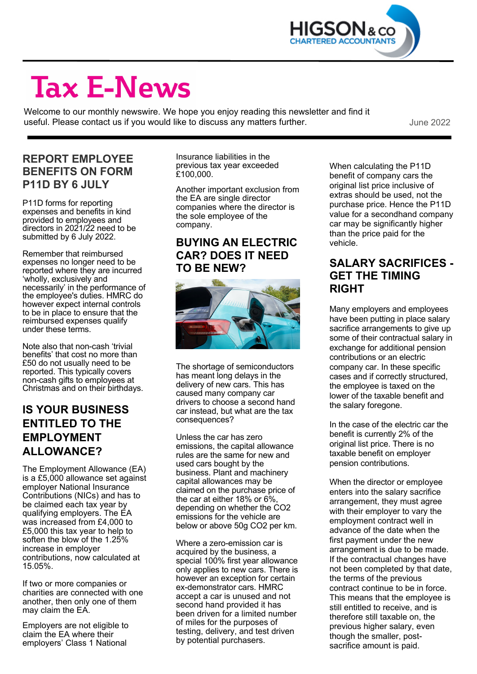

# **Tax E-News**

Welcome to our monthly newswire. We hope you enjoy reading this newsletter and find it useful. Please contact us if you would like to discuss any matters further. The manner of the 2022

#### **REPORT EMPLOYEE BENEFITS ON FORM P11D BY 6 JULY**

P11D forms for reporting expenses and benefits in kind provided to employees and directors in 2021/22 need to be submitted by 6 July 2022.

Remember that reimbursed expenses no longer need to be reported where they are incurred 'wholly, exclusively and necessarily' in the performance of the employee's duties. HMRC do however expect internal controls to be in place to ensure that the reimbursed expenses qualify under these terms.

Note also that non-cash 'trivial benefits' that cost no more than £50 do not usually need to be reported. This typically covers non-cash gifts to employees at Christmas and on their birthdays.

#### **IS YOUR BUSINESS ENTITLED TO THE EMPLOYMENT ALLOWANCE?**

The Employment Allowance (EA) is a £5,000 allowance set against employer National Insurance Contributions (NICs) and has to be claimed each tax year by qualifying employers. The EA was increased from £4,000 to £5,000 this tax year to help to soften the blow of the 1.25% increase in employer contributions, now calculated at 15.05%.

If two or more companies or charities are connected with one another, then only one of them may claim the EA.

Employers are not eligible to claim the EA where their employers' Class 1 National

Insurance liabilities in the previous tax year exceeded £100,000.

Another important exclusion from the EA are single director companies where the director is the sole employee of the company.

#### **BUYING AN ELECTRIC CAR? DOES IT NEED TO BE NEW?**



The shortage of semiconductors has meant long delays in the delivery of new cars. This has caused many company car drivers to choose a second hand car instead, but what are the tax consequences?

Unless the car has zero emissions, the capital allowance rules are the same for new and used cars bought by the business. Plant and machinery capital allowances may be claimed on the purchase price of the car at either 18% or 6%, depending on whether the CO2 emissions for the vehicle are below or above 50g CO2 per km.

Where a zero-emission car is acquired by the business, a special 100% first year allowance only applies to new cars. There is however an exception for certain ex-demonstrator cars. HMRC accept a car is unused and not second hand provided it has been driven for a limited number of miles for the purposes of testing, delivery, and test driven by potential purchasers.

When calculating the P11D benefit of company cars the original list price inclusive of extras should be used, not the purchase price. Hence the P11D value for a secondhand company car may be significantly higher than the price paid for the vehicle.

#### **SALARY SACRIFICES - GET THE TIMING RIGHT**

Many employers and employees have been putting in place salary sacrifice arrangements to give up some of their contractual salary in exchange for additional pension contributions or an electric company car. In these specific cases and if correctly structured, the employee is taxed on the lower of the taxable benefit and the salary foregone.

In the case of the electric car the benefit is currently 2% of the original list price. There is no taxable benefit on employer pension contributions.

When the director or employee enters into the salary sacrifice arrangement, they must agree with their employer to vary the employment contract well in advance of the date when the first payment under the new arrangement is due to be made. If the contractual changes have not been completed by that date, the terms of the previous contract continue to be in force. This means that the employee is still entitled to receive, and is therefore still taxable on, the previous higher salary, even though the smaller, postsacrifice amount is paid.